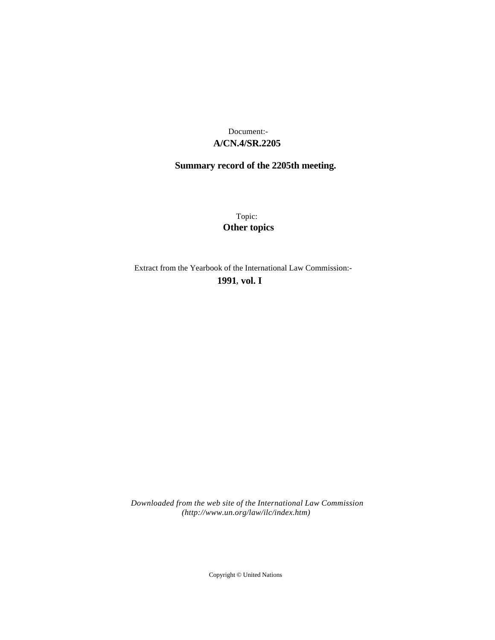### **A/CN.4/SR.2205** Document:-

## **Summary record of the 2205th meeting.**

Topic: **Other topics**

Extract from the Yearbook of the International Law Commission:-

**1991** , **vol. I**

*Downloaded from the web site of the International Law Commission (http://www.un.org/law/ilc/index.htm)*

Copyright © United Nations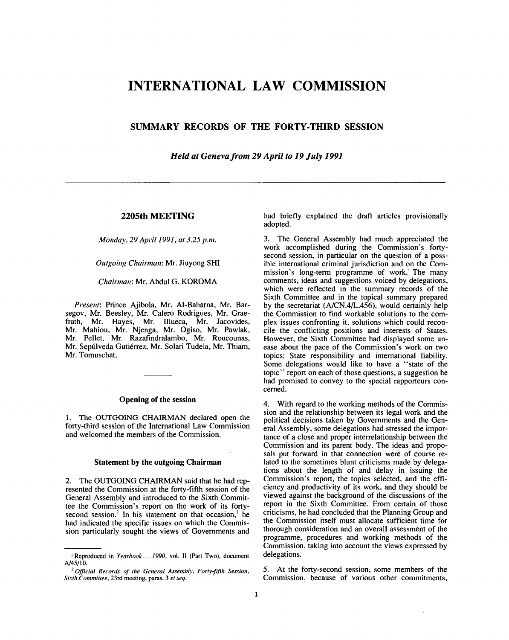# **INTERNATIONAL LAW COMMISSION**

## **SUMMARY RECORDS OF THE FORTY-THIRD SESSION**

*Held at Geneva from 29 April to 19 July 1991*

#### **2205th MEETING**

*Monday, 29 April 1991, at 3.25 p.m.*

#### *Outgoing Chairman:* Mr. Jiuyong SHI

*Chairman:* Mr. Abdul G. KOROMA

*Present:* Prince Ajibola, Mr. Al-Baharna, Mr. Barsegov, Mr. Beesley, Mr. Calero Rodrigues, Mr. Graefrath, Mr. Hayes, Mr. Illueca, Mr. Jacovides, Mr. Mahiou, Mr. Njenga, Mr. Ogiso, Mr. Pawlak, Mr. Pellet, Mr. Razafindralambo, Mr. Roucounas, Mr. Sepúlveda Gutiérrez, Mr. Solari Tudela, Mr. Thiam, Mr. Tomuschat.

#### **Opening of the session**

1. The OUTGOING CHAIRMAN declared open the forty-third session of the International Law Commission and welcomed the members of the Commission.

#### **Statement by the outgoing Chairman**

2. The OUTGOING CHAIRMAN said that he had represented the Commission at the forty-fifth session of the General Assembly and introduced to the Sixth Committee the Commission's report on the work of its fortysecond session.<sup>1</sup> In his statement on that occasion,<sup>2</sup> he had indicated the specific issues on which the Commission particularly sought the views of Governments and had briefly explained the draft articles provisionally adopted.

3. The General Assembly had much appreciated the work accomplished during the Commission's fortysecond session, in particular on the question of a possible international criminal jurisdiction and on the Commission's long-term programme of work. The many comments, ideas and suggestions voiced by delegations, which were reflected in the summary records of the Sixth Committee and in the topical summary prepared by the secretariat (A/CN.4/L.456), would certainly help the Commission to find workable solutions to the complex issues confronting it, solutions which could reconcile the conflicting positions and interests of States. However, the Sixth Committee had displayed some unease about the pace of the Commission's work on two topics: State responsibility and international liability. Some delegations would like to have a "state of the topic" report on each of those questions, a suggestion he had promised to convey to the special rapporteurs concerned.

4. With regard to the working methods of the Commission and the relationship between its legal work and the political decisions taken by Governments and the General Assembly, some delegations had stressed the importance of a close and proper interrelationship between the Commission and its parent body. The ideas and proposals put forward in that connection were of course related to the sometimes blunt criticisms made by delegations about the length of and delay in issuing the Commission's report, the topics selected, and the efficiency and productivity of its work, and they should be viewed against the background of the discussions of the report in the Sixth Committee. From certain of those criticisms, he had concluded that the Planning Group and the Commission itself must allocate sufficient time for thorough consideration and an overall assessment of the programme, procedures and working methods of the Commission, taking into account the views expressed by delegations.

5. At the forty-second session, some members of the Commission, because of various other commitments,

<sup>1</sup> Reproduced in *Yearbook... 1990,* vol. II (Part Two), document A/45/10.

<sup>2</sup>  *Official Records of the General Assembly, Forty-fifth Session, Sixth Committee,* 23rd meeting, paras. 3 *et seq.*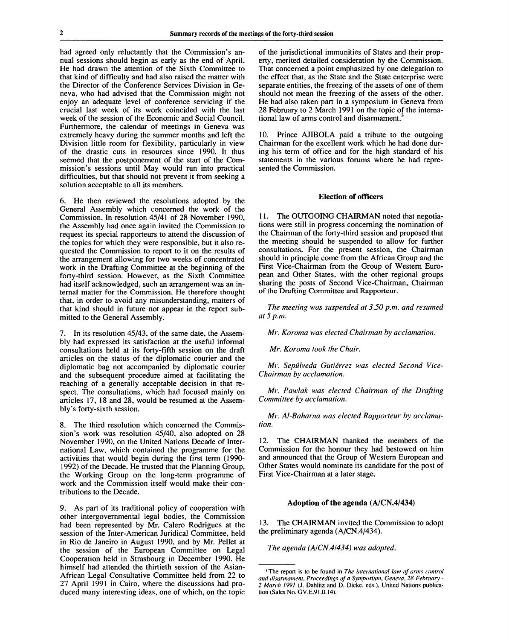had agreed only reluctantly that the Commission's annual sessions should begin as early as the end of April. He had drawn the attention of the Sixth Committee to that kind of difficulty and had also raised the matter with the Director of the Conference Services Division in Geneva, who had advised that the Commission might not enjoy an adequate level of conference servicing if the crucial last week of its work coincided with the last week of the session of the Economic and Social Council. Furthermore, the calendar of meetings in Geneva was extremely heavy during the summer months and left the Division little room for flexibility, particularly in view of the drastic cuts in resources since 1990. It thus seemed that the postponement of the start of the Commission's sessions until May would run into practical difficulties, but that should not prevent it from seeking a solution acceptable to all its members.

6. He then reviewed the resolutions adopted by the General Assembly which concerned the work of the Commission. In resolution 45/41 of 28 November 1990, the Assembly had once again invited the Commission to request its special rapporteurs to attend the discussion of the topics for which they were responsible, but it also requested the Commission to report to it on the results of the arrangement allowing for two weeks of concentrated work in the Drafting Committee at the beginning of the forty-third session. However, as the Sixth Committee had itself acknowledged, such an arrangement was an internal matter for the Commission. He therefore thought that, in order to avoid any misunderstanding, matters of that kind should in future not appear in the report submitted to the General Assembly.

7. In its resolution 45/43, of the same date, the Assembly had expressed its satisfaction at the useful informal consultations held at its forty-fifth session on the draft articles on the status of the diplomatic courier and the diplomatic bag not accompanied by diplomatic courier and the subsequent procedure aimed at facilitating the reaching of a generally acceptable decision in that respect. The consultations, which had focused mainly on articles 17, 18 and 28, would be resumed at the Assembly's forty-sixth session.

8. The third resolution which concerned the Commission's work was resolution 45/40, also adopted on 28 November 1990, on the United Nations Decade of International Law, which contained the programme for the activities that would begin during the first term (1990- 1992) of the Decade. He trusted that the Planning Group, the Working Group on the long-term programme of work and the Commission itself would make their contributions to the Decade.

9. As part of its traditional policy of cooperation with other intergovernmental legal bodies, the Commission had been represented by Mr. Calero Rodrigues at the session of the Inter-American Juridical Committee, held in Rio de Janeiro in August 1990, and by Mr. Pellet at the session of the European Committee on Legal Cooperation held in Strasbourg in December 1990. He himself had attended the thirtieth session of the Asian-African Legal Consultative Committee held from 22 to 27 April 1991 in Cairo, where the discussions had produced many interesting ideas, one of which, on the topic of the jurisdictional immunities of States and their property, merited detailed consideration by the Commission. That concerned a point emphasized by one delegation to the effect that, as the State and the State enterprise were separate entities, the freezing of the assets of one of them should not mean the freezing of the assets of the other. He had also taken part in a symposium in Geneva from 28 February to 2 March 1991 on the topic of the international law of arms control and disarmament.

10. Prince AJIBOLA paid a tribute to the outgoing Chairman for the excellent work which he had done during his term of office and for the high standard of his statements in the various forums where he had represented the Commission.

#### **Election of officers**

11. The OUTGOING CHAIRMAN noted that negotiations were still in progress concerning the nomination of the Chairman of the forty-third session and proposed that the meeting should be suspended to allow for further consultations. For the present session, the Chairman should in principle come from the African Group and the First Vice-Chairman from the Group of Western European and Other States, with the other regional groups sharing the posts of Second Vice-Chairman, Chairman of the Drafting Committee and Rapporteur.

*The meeting was suspended at 3.50 p.m. and resumed at 5 p.m.*

*Mr. Koroma was elected Chairman by acclamation.*

*Mr. Koroma took the Chair.*

*Mr. Sepulveda Gutierrez was elected Second Vice-Chairman by acclamation.*

*Mr. Pawlak was elected Chairman of the Drafting Committee by acclamation.*

*Mr. Al-Baharna was elected Rapporteur by acclamation.*

12. The CHAIRMAN thanked the members of the Commission for the honour they had bestowed on him and announced that the Group of Western European and Other States would nominate its candidate for the post of First Vice-Chairman at a later stage.

#### **Adoption of the agenda (A/CN.4/434)**

13. The CHAIRMAN invited the Commission to adopt the preliminary agenda (A/CN.4/434).

*The agenda (A/CN.4/434) was adopted.*

<sup>3</sup> The report is to be found in *The international law of arms control and disarmament. Proceedings of a Symposium, Geneva. 28 February - 2 March 1991* (J. Dahlitz and D. Dicke, eds.). United Nations publication (Sales No. GV.E.91.0.14).